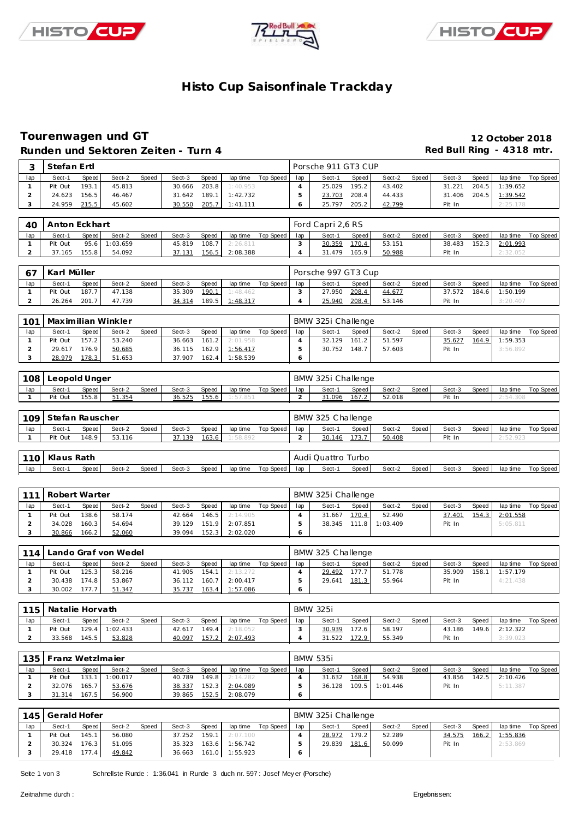





# **Histo Cup Saisonfinale Trackday**

# **Tourenwagen und GT 12 October 2018**

|                |                   |                | Runden und Sektoren Zeiten - Turn 4 |       |                  |                |                      |                    |                       |                     |                |                  |       | Red Bull Ring - 4318 mtr. |       |                      |                    |
|----------------|-------------------|----------------|-------------------------------------|-------|------------------|----------------|----------------------|--------------------|-----------------------|---------------------|----------------|------------------|-------|---------------------------|-------|----------------------|--------------------|
| 3              | Stefan Ertl       |                |                                     |       |                  |                |                      |                    |                       | Porsche 911 GT3 CUP |                |                  |       |                           |       |                      |                    |
| lap            | Sect-1            | Speed          | Sect-2                              | Speed | Sect-3           | Speed          |                      | lap time Top Speed | lap                   | Sect-1              | Speed          | Sect-2           | Speed | Sect-3                    | Speed | lap time             | <b>Top Speed</b>   |
| 1              | Pit Out           | 193.1          | 45.813                              |       | 30.666           | 203.8          | 1:40.953             |                    | $\overline{4}$        | 25.029              | 195.2          | 43.402           |       | 31.221                    | 204.5 | 1:39.652             |                    |
| $\overline{a}$ | 24.623            | 156.5          | 46.467                              |       | 31.642           | 189.1          | 1:42.732             |                    | 5                     | 23.703              | 208.4          | 44.433           |       | 31.406                    | 204.5 | 1:39.542             |                    |
| 3              | 24.959            | 215.5          | 45.602                              |       | 30.550           | 205.7          | 1:41.111             |                    | 6                     | 25.797              | 205.2          | 42.799           |       | Pit In                    |       | 2:25.178             |                    |
|                |                   |                |                                     |       |                  |                |                      |                    |                       |                     |                |                  |       |                           |       |                      |                    |
| 40             | Anton Eckhart     |                |                                     |       |                  |                |                      |                    |                       | Ford Capri 2,6 RS   |                |                  |       |                           |       |                      |                    |
| lap            | Sect-1            | Speed          | Sect-2                              | Speed | Sect-3           | Speed          | lap time             | Top Speed          | lap                   | Sect-1              | Speed          | Sect-2           | Speed | Sect-3                    | Speed | lap time             | <b>Top Speed</b>   |
| 1              | Pit Out           | 95.6           | 1:03.659                            |       | 45.819           | 108.7          | 2:26.811             |                    | 3                     | 30.359              | 170.4          | 53.151           |       | 38.483                    | 152.3 | 2:01.993             |                    |
| $\overline{a}$ | 37.165            | 155.8          | 54.092                              |       | 37.131           | 156.5          | 2:08.388             |                    | 4                     | 31.479              | 165.9          | 50.988           |       | Pit In                    |       | 2:32.052             |                    |
| 67             | Karl Müller       |                |                                     |       |                  |                |                      |                    |                       | Porsche 997 GT3 Cup |                |                  |       |                           |       |                      |                    |
| lap            | Sect-1            | Speed          | Sect-2                              | Speed | Sect-3           | Speed          | lap time             | Top Speed          | lap                   | Sect-1              | Speed          | Sect-2           | Speed | Sect-3                    | Speed | lap time             | <b>Top Speed</b>   |
| 1              | Pit Out           | 187.7          | 47.138                              |       | 35.309           | 190.1          | 1:48.462             |                    | 3                     | 27.950              | 208.4          | 44.677           |       | 37.572                    | 184.6 | 1:50.199             |                    |
| $\overline{a}$ | 26.264            | 201.7          | 47.739                              |       | 34.314           | 189.5          | 1:48.317             |                    | 4                     | 25.940              | 208.4          | 53.146           |       | Pit In                    |       | 3:20.407             |                    |
|                |                   |                |                                     |       |                  |                |                      |                    |                       |                     |                |                  |       |                           |       |                      |                    |
| 101            |                   |                | Maximilian Winkler                  |       |                  |                |                      |                    |                       | BMW 325i Challenge  |                |                  |       |                           |       |                      |                    |
| lap            | Sect-1            | Speed          | Sect-2                              | Speed | Sect-3           | Speed          | lap time             | Top Speed          | lap                   | Sect-1              | Speed          | Sect-2           | Speed | Sect-3                    | Speed | lap time             | Top Speed          |
| $\mathbf{1}$   | Pit Out           | 157.2          | 53.240                              |       | 36.663           | 161.2          | 2:01.958             |                    | $\overline{4}$        | 32.129              | 161.2          | 51.597           |       | 35.627                    | 164.9 | 1:59.353             |                    |
| $\overline{2}$ | 29.617            | 176.9          | 50.685                              |       | 36.115           | 162.9          | 1:56.417             |                    | 5                     | 30.752              | 148.7          | 57.603           |       | Pit In                    |       | 3:56.892             |                    |
| 3              | 28.979            | 178.3          | 51.653                              |       | 37.907           | 162.4          | 1:58.539             |                    | 6                     |                     |                |                  |       |                           |       |                      |                    |
| 108            | Leopold Unger     |                |                                     |       |                  |                |                      |                    |                       | BMW 325i Challenge  |                |                  |       |                           |       |                      |                    |
|                |                   |                |                                     |       |                  |                |                      |                    |                       |                     |                |                  |       |                           |       |                      |                    |
| lap<br>1       | Sect-1<br>Pit Out | Speed<br>155.8 | Sect-2<br>51.354                    | Speed | Sect-3<br>36.525 | Speed<br>155.6 | lap time<br>1:57.851 | Top Speed          | lap<br>$\overline{a}$ | Sect-1<br>31.096    | Speed<br>167.2 | Sect-2<br>52.018 | Speed | Sect-3<br>Pit In          | Speed | lap time<br>2:54.308 | Top Speed          |
|                |                   |                |                                     |       |                  |                |                      |                    |                       |                     |                |                  |       |                           |       |                      |                    |
| 109            | Stefan Rauscher   |                |                                     |       |                  |                |                      |                    |                       | BMW 325 Challenge   |                |                  |       |                           |       |                      |                    |
| lap            | Sect-1            | Speed          | Sect-2                              | Speed | Sect-3           | Speed          | lap time             | Top Speed          | lap                   | Sect-1              | Speed          | Sect-2           | Speed | Sect-3                    | Speed | lap time             | <b>Top Speed</b>   |
| 1              | Pit Out           | 148.9          | 53.116                              |       | 37.139           | 163.6          | 58.89                |                    | $\overline{a}$        | 30.146              | 173.7          | 50.408           |       | Pit In                    |       | 2:52.92              |                    |
|                |                   |                |                                     |       |                  |                |                      |                    |                       |                     |                |                  |       |                           |       |                      |                    |
| 110            | Klaus Rath        |                |                                     |       |                  |                |                      |                    |                       | Audi Quattro Turbo  |                |                  |       |                           |       |                      |                    |
| lap            | Sect-1            | Speed          | Sect-2                              | Speed | Sect-3           | Speed          | lap time             | Top Speed          | lap                   | Sect-1              | Speed          | Sect-2           | Speed | Sect-3                    | Speed | lap time             | Top Speed          |
|                |                   |                |                                     |       |                  |                |                      |                    |                       |                     |                |                  |       |                           |       |                      |                    |
| 111            | Robert Warter     |                |                                     |       |                  |                |                      |                    |                       | BMW 325i Challenge  |                |                  |       |                           |       |                      |                    |
| lap            | Sect-1            | Speed          | Sect-2                              | Speed | Sect-3           | Speed          | lap time             | Top Speed          | lap                   | Sect-1              | Speed          | Sect-2           | Speed | Sect-3                    | Speed | lap time             | <b>Top Speed</b>   |
| $\mathbf{1}$   | Pit Out           | 138.6          | 58.174                              |       | 42.664           | 146.5          | 2:14.905             |                    | $\overline{4}$        | 31.667              | 170.4          | 52.490           |       | 37.401                    | 154.3 | 2:01.558             |                    |
| $\overline{2}$ | 34.028            | 160.3          | 54.694                              |       | 39.129           | 151.9          | 2:07.851             |                    | 5                     | 38.345              | 111.8          | 1:03.409         |       | Pit In                    |       | 5:05.811             |                    |
| 3              | 30.866            | 166.2          | 52.060                              |       | 39.094           | 152.3          | 2:02.020             |                    | 6                     |                     |                |                  |       |                           |       |                      |                    |
| 114            |                   |                | Lando Graf von Wedel                |       |                  |                |                      |                    |                       | BMW 325 Challenge   |                |                  |       |                           |       |                      |                    |
| lap            | Sect-1            | Speed          | Sect-2                              | Speed | Sect-3           | Speed          | lap time             | Top Speed          | lap                   | Sect-1              | Speed          | Sect-2           | Speed | Sect-3                    | Speed | lap time             | <b>Top Speed</b>   |
| $\mathbf{1}$   | Pit Out           | 125.3          | 58.216                              |       | 41.905           | 154.1          | 2:13.272             |                    | $\overline{4}$        | 29.492              | 177.7          | 51.778           |       | 35.909                    | 158.1 | 1:57.179             |                    |
| $\overline{a}$ |                   | 30.438 174.8   | 53.867                              |       | 36.112 160.7     |                | 2:00.417             |                    | $\,$ 5 $\,$           | 29.641 181.3        |                | 55.964           |       | Pit In                    |       | 4:21.438             |                    |
| 3              | 30.002 177.7      |                | 51.347                              |       | 35.737 163.4     |                | 1:57.086             |                    | 6                     |                     |                |                  |       |                           |       |                      |                    |
|                |                   |                |                                     |       |                  |                |                      |                    |                       |                     |                |                  |       |                           |       |                      |                    |
| 115            | Natalie Horvath   |                |                                     |       |                  |                |                      |                    |                       | <b>BMW 325i</b>     |                |                  |       |                           |       |                      |                    |
| lap            | Sect-1            | Speed          | Sect-2                              | Speed | Sect-3           | Speed          |                      | lap time Top Speed | lap                   | Sect-1              | Speed          | Sect-2           | Speed | Sect-3                    | Speed |                      | lap time Top Speed |
| $\mathbf{1}$   | Pit Out           | 129.4          | 1:02.433                            |       | 42.617           | 149.4          | 2:18.052             |                    | 3                     | 30.939              | 172.6          | 58.197           |       | 43.186                    | 149.6 | 2:12.322             |                    |
| $\overline{2}$ | 33.568            | 145.5          | 53.828                              |       | 40.097           | 157.2          | 2:07.493             |                    | 4                     | 31.522              | 172.9          | 55.349           |       | Pit In                    |       | 3:39.023             |                    |
| 135            | Franz WetzImaier  |                |                                     |       |                  |                |                      |                    |                       | <b>BMW 535i</b>     |                |                  |       |                           |       |                      |                    |
| lap            | Sect-1            | Speed          | Sect-2                              | Speed | Sect-3           | Speed          |                      | lap time Top Speed | lap                   | Sect-1              | Speed          | Sect-2           | Speed | Sect-3                    | Speed |                      | lap time Top Speed |
| $\mathbf{1}$   | Pit Out           | 133.1          | 1:00.017                            |       | 40.789           | 149.8          | 2:14.282             |                    | $\overline{4}$        | 31.632              | 168.8          | 54.938           |       | 43.856                    | 142.5 | 2:10.426             |                    |
| $\overline{2}$ | 32.076            | 165.7          | 53.676                              |       | 38.337           | 152.3          | 2:04.089             |                    | 5                     | 36.128 109.5        |                | 1:01.446         |       | Pit In                    |       | 5:11.387             |                    |
| 3              | 31.314 167.5      |                | 56.900                              |       | 39.865           | 152.5          | 2:08.079             |                    | 6                     |                     |                |                  |       |                           |       |                      |                    |
|                |                   |                |                                     |       |                  |                |                      |                    |                       |                     |                |                  |       |                           |       |                      |                    |
|                | 145 Gerald Hofer  |                |                                     |       |                  |                |                      |                    |                       | BMW 325i Challenge  |                |                  |       |                           |       |                      |                    |

|     | 145   Gerald Hofer |       |        |       |        |       |                       |             |     | BMW 325i Challenge |       |        |       |        |       |                 |           |
|-----|--------------------|-------|--------|-------|--------|-------|-----------------------|-------------|-----|--------------------|-------|--------|-------|--------|-------|-----------------|-----------|
| lap | Sect-1             | Speed | Sect-2 | Speed | Sect-3 | Speed | lap time              | Top Speed I | lap | Sect-1             | Speed | Sect-2 | Speed | Sect-3 | Speed | lap time        | Top Speed |
|     | Pit Out            | 145.1 | 56.080 |       | 37.252 | 159.1 | 2:07.100              |             |     | 28.972             | 179.2 | 52.289 |       | 34.575 | 166.2 | <u>1:55.836</u> |           |
|     | 30.324             | 176.3 | 51.095 |       | 35.323 | 163.6 | 1:56.742              |             |     | 29.839             | 181.6 | 50.099 |       | Pit In |       | 2:53.869        |           |
|     | 29.418             | 177.4 | 49.842 |       |        |       | 36.663 161.0 1:55.923 |             |     |                    |       |        |       |        |       |                 |           |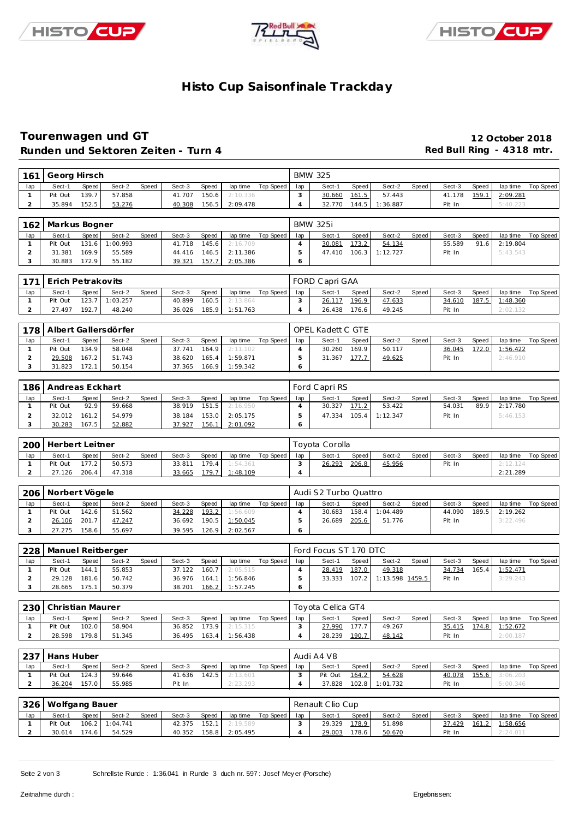





# **Histo Cup Saisonfinale Trackday**

### **Tourenwagen und GT 12 October 2018** Runden und Sektoren Zeiten - Turn 4 **Runden und Sektoren Zeiten - Turn 4 Red Bull Ring - 4318 mtr.**

|     | 161 Georg Hirsch |       |        |       |        |       |          |           |     | <b>BMW 325</b> |         |          |       |        |       |          |           |
|-----|------------------|-------|--------|-------|--------|-------|----------|-----------|-----|----------------|---------|----------|-------|--------|-------|----------|-----------|
| lap | Sect-1           | Speed | Sect-2 | Speed | Sect-3 | Speed | lap time | Top Speed | lap | Sect-1         | Speed I | Sect-2   | Speed | Sect-3 | Speed | lap time | Top Speed |
|     | Pit Out          | 139.7 | 57.858 |       | 41.707 | 150.6 | 2:10.336 |           |     | 30.660         | 161.5   | 57.443   |       | 41.178 | 159.1 | 2:09.281 |           |
|     | 35.894           | 152.5 | 53.276 |       | 40.308 | 156.5 | 2:09.478 |           |     | 32.770         | 144.5   | 1:36.887 |       | Pit In |       | 5:40.223 |           |

|     | 162   Markus Bogner |       |                |       |        |         |          |           |     | <b>BMW 325i</b> |       |                  |       |        |       |                 |           |
|-----|---------------------|-------|----------------|-------|--------|---------|----------|-----------|-----|-----------------|-------|------------------|-------|--------|-------|-----------------|-----------|
| lap | Sect-1              | Speed | Sect-2         | Speed | Sect-3 | Speed   | lap time | Top Speed | lap | Sect-1          | Speed | Sect-2           | Speed | Sect-3 | Speed | lap time        | Top Speed |
|     | Pit Out             |       | 131.6 1:00.993 |       | 41.718 | 145.6   | 2:16.709 |           |     | 30.081          | 173.2 | 54.134           |       | 55.589 |       | $91.6$ 2:19.804 |           |
|     | 31.381              | 169.9 | 55.589         |       | 44.416 | $146.5$ | 2:11.386 |           |     | 47.410          |       | $106.3$ 1:12.727 |       | Pit In |       | 5:43.543        |           |
|     | 30.883              | 172.9 | 55.182         |       | 39.321 | 157.7   | 2:05.386 |           |     |                 |       |                  |       |        |       |                 |           |

|     | i 171 Erich Petrakovits |       |                  |              |        |       |                |           |     | FORD Capri GAA |                    |        |       |        |       |          |           |
|-----|-------------------------|-------|------------------|--------------|--------|-------|----------------|-----------|-----|----------------|--------------------|--------|-------|--------|-------|----------|-----------|
| lap | Sect-1                  | Speed | Sect-2           | <b>Speed</b> | Sect-3 | Speed | lap time       | Top Speed | lap | Sect-1         | Speed              | Sect-2 | Speed | Sect-3 | Speed | lap time | Top Speed |
|     | Pit Out                 |       | $123.7$ 1:03.257 |              | 40.899 | 160.5 | 2:13.864       |           |     | 26.117         | 196.9              | 47.633 |       | 34.610 | 187.5 | 1:48.360 |           |
|     | 27.497                  | 192.7 | 48.240           |              | 36.026 |       | 185.9 1:51.763 |           |     | 26.438         | 176.6 <sub>1</sub> | 49.245 |       | Pit In |       | 2:02.132 |           |

|     | 178   Albert Gallersdörfer |                    |        |              |        |         |          |           |     | <b>OPEL Kadett C GTE</b> |                    |        |       |        |       |          |           |
|-----|----------------------------|--------------------|--------|--------------|--------|---------|----------|-----------|-----|--------------------------|--------------------|--------|-------|--------|-------|----------|-----------|
| lap | Sect-1                     | Speed              | Sect-2 | <b>Speed</b> | Sect-3 | Speed   | lap time | Top Speed | lap | Sect-1                   | Speed I            | Sect-2 | Speed | Sect-3 | Speed | lap time | Top Speed |
|     | Pit Out                    | 134.9              | 58.048 |              | 37.741 | 164.9   | 2:11.102 |           |     | 30.260                   | 169.9              | 50.117 |       | 36.045 | 172.0 | 1:56.422 |           |
|     | 29.508                     | $167.2$            | 51.743 |              | 38.620 | $165.4$ | 1:59.871 |           |     | 31.367                   | 177.7 <sup>1</sup> | 49.625 |       | Pit In |       | 2:46.910 |           |
|     | 31.823                     | 172.1 <sub>1</sub> | 50.154 |              | 37.365 | 166.9   | 1:59.342 |           |     |                          |                    |        |       |        |       |          |           |

| 186 | Andreas Eckhart |       |        |       |        |       |          |           |     | Ford Capri RS |       |                  |       |        |       |          |           |
|-----|-----------------|-------|--------|-------|--------|-------|----------|-----------|-----|---------------|-------|------------------|-------|--------|-------|----------|-----------|
| lap | Sect-1          | Speed | Sect-2 | Speed | Sect-3 | Speed | lap time | Top Speed | lap | Sect-1        | Speed | Sect-2           | Speed | Sect-3 | Speed | lap time | Top Speed |
|     | Pit Out         | 92.9  | 59.668 |       | 38.919 | 151.5 | 2:16.950 |           |     | 30.327        | 171.2 | 53.422           |       | 54.031 | 89.9  | 2:17.780 |           |
|     | 32.012          | 161.2 | 54.979 |       | 38.184 | 153.0 | 2:05.175 |           |     | 47.334        |       | $105.4$ 1:12.347 |       | Pit In |       | 5:46.153 |           |
|     | 30.283          | 167.5 | 52.882 |       | 37.927 | 156.1 | 2:01.092 |           |     |               |       |                  |       |        |       |          |           |

| 200 | Herbert Leitner |         |        |              |        |       |          |           |     | Tovota Corolla |       |        |       |        |       |          |           |
|-----|-----------------|---------|--------|--------------|--------|-------|----------|-----------|-----|----------------|-------|--------|-------|--------|-------|----------|-----------|
| lap | Sect-1          | Speed i | Sect-2 | <b>Speed</b> | Sect-3 | Speed | lap time | Top Speed | lap | Sect-1         | Speed | Sect-2 | Speed | Sect-3 | Speed | lap time | Top Speed |
|     | Pit Out         | 177.2   | 50.573 |              | 33.811 | 179.4 | 1:54.361 |           |     | 26.293         | 206.8 | 45.956 |       | Pit In |       | 2:12.124 |           |
|     | 27.126          | 206.4   | 47.318 |              | 33.665 | 179.7 | 1:48.109 |           |     |                |       |        |       |        |       | 2:21.289 |           |

| 206 | Norbert Vögele |       |        |              |        |       |          |             |     | Audi S2 Turbo Quattro |       |          |       |        |       |                |           |
|-----|----------------|-------|--------|--------------|--------|-------|----------|-------------|-----|-----------------------|-------|----------|-------|--------|-------|----------------|-----------|
| lap | Sect-1         | Speed | Sect-2 | <b>Speed</b> | Sect-3 | Speed | lap time | Top Speed I | lap | Sect-1                | Speed | Sect-2   | Speed | Sect-3 | Speed | lap time       | Top Speed |
|     | Pit Out        | 142.6 | 51.562 |              | 34.228 | 193.2 | 1:56.609 |             |     | 30.683                | 158.4 | 1:04.489 |       | 44.090 |       | 189.5 2:19.262 |           |
|     | 26.106         | 201.7 | 47.247 |              | 36.692 | 190.5 | 1:50.045 |             |     | 26.689                | 205.6 | 51.776   |       | Pit In |       | 3:22.496       |           |
|     | 27.275         | 158.6 | 55.697 |              | 39.595 | 126.9 | 2:02.567 |             |     |                       |       |          |       |        |       |                |           |

|     | 228   Manuel Reitberger |       |        |       |        |       |          |             |     | Ford Focus ST 170 DTC |       |                       |       |        |       |          |           |
|-----|-------------------------|-------|--------|-------|--------|-------|----------|-------------|-----|-----------------------|-------|-----------------------|-------|--------|-------|----------|-----------|
| lap | Sect-1                  | Speed | Sect-2 | Speed | Sect-3 | Speed | lap time | Top Speed I | lap | Sect-1                | Speed | Sect-2                | Speed | Sect-3 | Speed | lap time | Top Speed |
|     | Pit Out                 | 144.1 | 55.853 |       | 37.122 | 160.7 | 2:05.515 |             |     | 28.419                | 187.0 | 49.318                |       | 34.734 | 165.4 | 1:52.471 |           |
|     | 29.128                  | 181.6 | 50.742 |       | 36.976 | 164.1 | 1:56.846 |             |     | 33.333                |       | 107.2 1:13.598 1459.5 |       | Pit In |       | 3:29.243 |           |
|     | 28.665                  | 175.1 | 50.379 |       | 38.201 | 166.2 | 1:57.245 |             |     |                       |       |                       |       |        |       |          |           |

| <b>230</b> | Christian Maurer |       |        |       |        |       |          |           |     | Toyota Celica GT4 |       |        |       |        |       |                |           |
|------------|------------------|-------|--------|-------|--------|-------|----------|-----------|-----|-------------------|-------|--------|-------|--------|-------|----------------|-----------|
| lap        | Sect-1           | Speed | Sect-2 | Speed | Sect-3 | Speed | lap time | Top Speed | lap | Sect-1            | Speed | Sect-2 | Speed | Sect-3 | Speed | lap time       | Top Speed |
|            | Pit Out          | 102.0 | 58.904 |       | 36.852 | 173.9 | 2:15.315 |           |     | 27.990            | 77.7  | 49.267 |       | 35.415 |       | 174.8 1:52.672 |           |
|            | 28.598           | 179.8 | 51.345 |       | 36.495 | 163.4 | 1:56.438 |           |     | 28.239            | 190.7 | 48.142 |       | Pit In |       | 2:00.187       |           |

| 237 | Hans Huber |       |        |       |        |       |          |           |     | Audi A4 V8 |                        |          |       |        |       |                |           |
|-----|------------|-------|--------|-------|--------|-------|----------|-----------|-----|------------|------------------------|----------|-------|--------|-------|----------------|-----------|
| lap | Sect-1     | Speed | Sect-2 | Speed | Sect-3 | Speed | lap time | Top Speed | lap | Sect-1     | Speed                  | Sect-2   | Speed | Sect-3 | Speed | lap time       | Top Speed |
|     | Pit Out    | 124.3 | 59.646 |       | 41.636 | 142.5 | 2:13.601 |           |     | Pit Out    | 164.2                  | 54.628   |       | 40.078 |       | 155.6 3:06.203 |           |
|     | 36.204     | 157.0 | 55.985 |       | Pit In |       | 2:23.293 |           |     | 37.828     | $102.8$ $\blacksquare$ | 1:01.732 |       | Pit In |       | 5:00.346       |           |

| 326 l | Wolfgang Bauer |       |                  |              |        |       |          |           |     | Renault Clio Cup |         |        |       |        |       |          |           |
|-------|----------------|-------|------------------|--------------|--------|-------|----------|-----------|-----|------------------|---------|--------|-------|--------|-------|----------|-----------|
| lap   | Sect-1         | Speed | Sect-2           | <b>Speed</b> | Sect-3 | Speed | lap time | Top Speed | lap | Sect-1           | Speed i | Sect-2 | Speed | Sect-3 | Speed | lap time | Top Speed |
|       | Pit Out        |       | $106.2$ 1:04.741 |              | 42.375 | 152.1 | 2:19.589 |           |     | 29.329           | 178.9   | 51.898 |       | 37.429 | 161.2 | : 58.656 |           |
|       | 30.614         | 174.6 | 54.529           |              | 40.352 | 158.8 | 2:05.495 |           |     | 29.003           | 178.6   | 50.670 |       | Pit In |       | 2:24.011 |           |